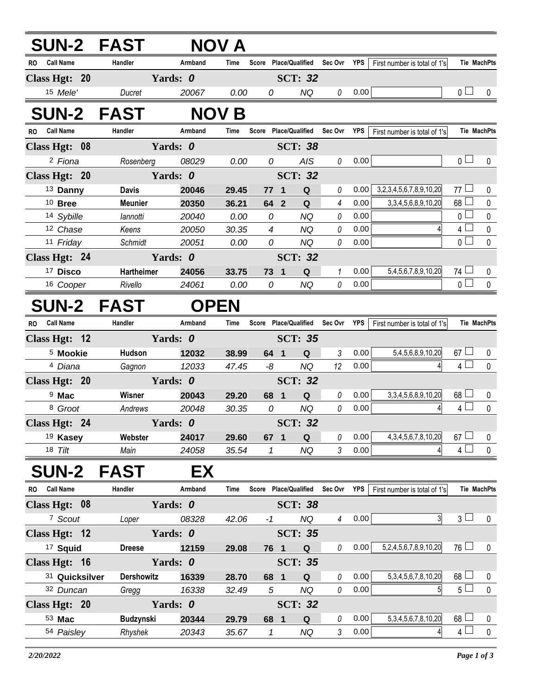| <b>SUN-2 FAST</b>             |                   |             | <b>NOV A</b> |                |                       |                |            |                              |                |                    |
|-------------------------------|-------------------|-------------|--------------|----------------|-----------------------|----------------|------------|------------------------------|----------------|--------------------|
| RO Call Name                  | Handler           | Armband     | Time         |                | Score Place/Qualified | Sec Ovr YPS    |            | First number is total of 1's |                | <b>Tie MachPts</b> |
| Class Hgt: 20                 |                   | Yards: 0    |              |                | <b>SCT: 32</b>        |                |            |                              |                |                    |
| 15 Mele'                      | Ducret            | 20067       | 0.00         | 0              | NQ                    | 0              | 0.00       |                              | 0 <sub>1</sub> | 0                  |
| <b>SUN-2 FAST</b>             |                   |             | <b>NOV B</b> |                |                       |                |            |                              |                |                    |
| <b>Call Name</b><br><b>RO</b> | Handler           | Armband     | Time         |                | Score Place/Qualified | Sec Ovr        | <b>YPS</b> | First number is total of 1's |                | <b>Tie MachPts</b> |
| Class Hgt: 08                 |                   | Yards: 0    |              |                | <b>SCT: 38</b>        |                |            |                              |                |                    |
| <sup>2</sup> Fiona            | Rosenberg         | 08029       | 0.00         | 0              | <b>AIS</b>            | 0              | 0.00       |                              | 0 <sub>1</sub> | 0                  |
| Class Hgt: 20                 |                   | Yards: 0    |              |                | <b>SCT: 32</b>        |                |            |                              |                |                    |
| 13 Danny                      | <b>Davis</b>      | 20046       | 29.45        | $77-1$         | ${\bf Q}$             | 0              | 0.00       | 3,2,3,4,5,6,7,8,9,10,20      | 77 $\Box$      | 0                  |
| $10$ Bree                     | <b>Meunier</b>    | 20350       | 36.21        | $64$ 2         | Q                     | $\overline{4}$ | 0.00       | 3, 3, 4, 5, 6, 8, 9, 10, 20  | $68\perp$      | 0                  |
| 14 Sybille                    | lannotti          | 20040       | 0.00         | 0              | <b>NQ</b>             | 0              | 0.00       |                              | 0 <sup>1</sup> | $\pmb{0}$          |
| 12 Chase                      | Keens             | 20050       | 30.35        | $\overline{4}$ | <b>NQ</b>             | 0              | 0.00       |                              | 4 <sup>1</sup> | 0                  |
| 11 Friday                     | Schmidt           | 20051       | 0.00         | 0              | <b>NQ</b>             | 0              | 0.00       |                              | 0 <sup>2</sup> | $\mathbf 0$        |
| Class Hgt: 24                 |                   | Yards: 0    |              |                | <b>SCT: 32</b>        |                |            |                              |                |                    |
| <sup>17</sup> Disco           | Hartheimer        | 24056       | 33.75        | 73 1           | Q                     | 1              | 0.00       | 5,4,5,6,7,8,9,10,20          | 74 ∟           | 0                  |
| 16 Cooper                     | Rivello           | 24061       | 0.00         | 0              | <b>NQ</b>             | 0              | 0.00       |                              | 0 <sub>1</sub> | $\mathbf 0$        |
| <b>SUN-2 FAST</b>             |                   | <b>OPEN</b> |              |                |                       |                |            |                              |                |                    |
| <b>Call Name</b><br><b>RO</b> | Handler           | Armband     | Time         |                | Score Place/Qualified | Sec Ovr YPS    |            | First number is total of 1's |                | <b>Tie MachPts</b> |
| Class Hgt: 12                 |                   | Yards: 0    |              |                | <b>SCT: 35</b>        |                |            |                              |                |                    |
| <sup>5</sup> Mookie           | Hudson            | 12032       | 38.99        | 64 1           | Q                     | $\mathfrak{Z}$ | 0.00       | 5,4,5,6,8,9,10,20            | $67 \Box$      | 0                  |
| <sup>4</sup> Diana            | Gagnon            | 12033       | 47.45        | -8             | NQ.                   | 12             | 0.00       |                              | $4 \Box$       | $\mathbf 0$        |
| Class Hgt: 20                 |                   | Yards: 0    |              |                | <b>SCT: 32</b>        |                |            |                              |                |                    |
| <sup>9</sup> Mac              | Wisner            | 20043       | 29.20        | 68 1           | Q                     | 0              | 0.00       | 3, 3, 4, 5, 6, 8, 9, 10, 20  | $68\Box$       | 0                  |
| <sup>8</sup> Groot            | Andrews           | 20048       | 30.35        | 0              | NQ                    | 0              | 0.00       |                              | $4\square$     | $\pmb{0}$          |
| Class Hgt: 24                 |                   | Yards: 0    |              |                | <b>SCT: 32</b>        |                |            |                              |                |                    |
| <sup>19</sup> Kasey           | Webster           | 24017       | 29.60        | 67 1           | Q                     | 0              | 0.00       | 4, 3, 4, 5, 6, 7, 8, 10, 20  | $67 \Box$      | 0                  |
| $18$ Tilt                     | Main              | 24058       | 35.54        | 1              | NQ                    | 3              | 0.00       |                              | 4 <sup>L</sup> | $\mathbf{0}$       |
| <b>SUN-2</b>                  | <b>FAST</b>       | EX          |              |                |                       |                |            |                              |                |                    |
| RO Call Name                  | Handler           | Armband     | Time         |                | Score Place/Qualified | Sec Ovr YPS    |            | First number is total of 1's |                | Tie MachPts        |
| Class Hgt: 08                 |                   | Yards: 0    |              |                | <b>SCT: 38</b>        |                |            |                              |                |                    |
| 7 Scout                       | Loper             | 08328       | 42.06        | $-1$           | <b>NQ</b>             | 4              | 0.00       | 3 <sup>l</sup>               | $3\sqcup$      | $\mathbf 0$        |
| Class Hgt: 12                 |                   | Yards: 0    |              |                | <b>SCT: 35</b>        |                |            |                              |                |                    |
| <sup>17</sup> Squid           | <b>Dreese</b>     | 12159       | 29.08        | 76 1           | Q                     | 0              | 0.00       | 5,2,4,5,6,7,8,9,10,20        | $76 \Box$      | 0                  |
| Class Hgt: 16                 |                   | Yards: 0    |              |                | <b>SCT: 35</b>        |                |            |                              |                |                    |
| 31 Quicksilver                | <b>Dershowitz</b> | 16339       | 28.70        | 68 1           | Q                     | 0              | 0.00       | 5, 3, 4, 5, 6, 7, 8, 10, 20  | $68 -$         | 0                  |
| 32 Duncan                     | Gregg             | 16338       | 32.49        | 5              | NQ                    | 0              | 0.00       | 5 <sup>1</sup>               | 5 <sub>1</sub> | $\mathbf 0$        |
| Class Hgt: 20                 |                   | Yards: 0    |              |                | <b>SCT: 32</b>        |                |            |                              |                |                    |
| 53 Mac                        | <b>Budzynski</b>  | 20344       | 29.79        | 68 1           | Q                     | 0              | 0.00       | 5, 3, 4, 5, 6, 7, 8, 10, 20  | $68 -$         | $\bf{0}$           |
| 54 Paisley                    | Rhyshek           | 20343       | 35.67        | 1              | NQ                    | 3              | 0.00       |                              | $4 \perp$      | $\mathbf 0$        |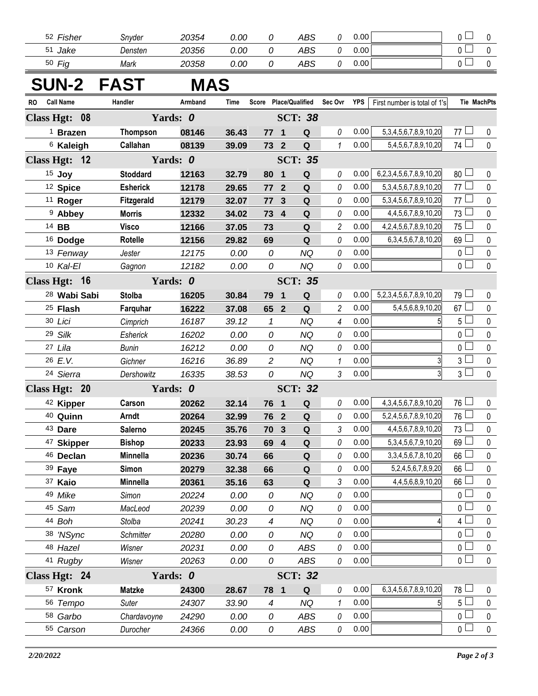| 52<br>Fisher | Snyder  | 20354 | 0.00 | ABS | $0.00\,$<br>-- |
|--------------|---------|-------|------|-----|----------------|
| 51<br>Jake   | Densten | 20356 | 0.00 | ABS | $0.00\,$<br>__ |
| Fig<br>50    | Mark    | 20358 | 0.00 | ABS | $0.00\,$<br>-- |

## **SUN-2 FAST MAS**

| <b>Call Name</b><br>RO  | Handler           | Armband  | Time  | Score Place/Qualified Sec Ovr |                         |                |                | YPS  | First number is total of 1's   | <b>Tie MachPts</b> |             |
|-------------------------|-------------------|----------|-------|-------------------------------|-------------------------|----------------|----------------|------|--------------------------------|--------------------|-------------|
| Class Hgt: 08           |                   | Yards: 0 |       |                               |                         | <b>SCT: 38</b> |                |      |                                |                    |             |
| $1$ Brazen              | <b>Thompson</b>   | 08146    | 36.43 | 77                            | $\blacksquare$          | Q              | 0              | 0.00 | 5, 3, 4, 5, 6, 7, 8, 9, 10, 20 | $77$ $-$           | 0           |
| <sup>6</sup> Kaleigh    | Callahan          | 08139    | 39.09 | 73 2                          |                         | $\mathbf Q$    | $\mathbf{1}$   | 0.00 | 5,4,5,6,7,8,9,10,20            | 74                 | $\pmb{0}$   |
| Class Hgt: 12           |                   | Yards: 0 |       |                               |                         | <b>SCT: 35</b> |                |      |                                |                    |             |
| 15 Joy                  | <b>Stoddard</b>   | 12163    | 32.79 | 80                            | $\blacksquare$          | $\mathbf Q$    | 0              | 0.00 | 6,2,3,4,5,6,7,8,9,10,20        | 80 <sup>1</sup>    | 0           |
| <sup>12</sup> Spice     | <b>Esherick</b>   | 12178    | 29.65 | 77 2                          |                         | $\mathbf Q$    | 0              | 0.00 | 5, 3, 4, 5, 6, 7, 8, 9, 10, 20 | 77 $\Box$          | $\pmb{0}$   |
| <sup>11</sup> Roger     | <b>Fitzgerald</b> | 12179    | 32.07 | 77                            | $\mathbf{3}$            | $\mathbf Q$    | 0              | 0.00 | 5, 3, 4, 5, 6, 7, 8, 9, 10, 20 | 77 $\Box$          | 0           |
| <sup>9</sup> Abbey      | <b>Morris</b>     | 12332    | 34.02 | 73 4                          |                         | $\mathbf Q$    | 0              | 0.00 | 4,4,5,6,7,8,9,10,20            | $73 \Box$          | $\pmb{0}$   |
| 14 BB                   | <b>Visco</b>      | 12166    | 37.05 | 73                            |                         | ${\bf Q}$      | $\overline{c}$ | 0.00 | 4,2,4,5,6,7,8,9,10,20          | 75                 | 0           |
| <sup>16</sup> Dodge     | Rotelle           | 12156    | 29.82 | 69                            |                         | ${\bf Q}$      | 0              | 0.00 | 6, 3, 4, 5, 6, 7, 8, 10, 20    | $69$ $\Box$        | $\pmb{0}$   |
| 13 Fenway               | Jester            | 12175    | 0.00  | 0                             |                         | <b>NQ</b>      | 0              | 0.00 |                                | $\overline{0}$     | $\pmb{0}$   |
| 10 Kal-El               | Gagnon            | 12182    | 0.00  | 0                             |                         | <b>NQ</b>      | 0              | 0.00 |                                | $\overline{0}$     | $\mathbf 0$ |
| Class Hgt: 16           |                   | Yards: 0 |       |                               |                         | <b>SCT: 35</b> |                |      |                                |                    |             |
| <sup>28</sup> Wabi Sabi | <b>Stolba</b>     | 16205    | 30.84 | 79                            | $\overline{\mathbf{1}}$ | ${\bf Q}$      | 0              | 0.00 | 5,2,3,4,5,6,7,8,9,10,20        | $79 \Box$          | 0           |
| <sup>25</sup> Flash     | Farquhar          | 16222    | 37.08 | 65 2                          |                         | Q              | $\overline{c}$ | 0.00 | 5,4,5,6,8,9,10,20              | $67 \Box$          | $\pmb{0}$   |
| 30 Lici                 | Cimprich          | 16187    | 39.12 | $\mathcal I$                  |                         | <b>NQ</b>      | 4              | 0.00 | 5                              | $5\perp$           | $\pmb{0}$   |
| 29 Silk                 | Esherick          | 16202    | 0.00  | 0                             |                         | <b>NQ</b>      | 0              | 0.00 |                                | $\overline{0}$     | $\pmb{0}$   |
| 27 Lila                 | Bunin             | 16212    | 0.00  | 0                             |                         | <b>NQ</b>      | 0              | 0.00 |                                | 0 <sup>5</sup>     | $\pmb{0}$   |
| 26 E.V.                 | Gichner           | 16216    | 36.89 | $\overline{c}$                |                         | <b>NQ</b>      | $\mathbf{1}$   | 0.00 | 3                              | $3\square$         | $\pmb{0}$   |
| 24 Sierra               | Dershowitz        | 16335    | 38.53 | 0                             |                         | <b>NQ</b>      | 3              | 0.00 | 3                              | $3\Box$            | $\pmb{0}$   |
| Class Hgt: 20           |                   | Yards: 0 |       |                               |                         | <b>SCT: 32</b> |                |      |                                |                    |             |
| 42 Kipper               | Carson            | 20262    | 32.14 | 76 1                          |                         | Q              | 0              | 0.00 | 4, 3, 4, 5, 6, 7, 8, 9, 10, 20 | $76 \Box$          | $\pmb{0}$   |
| 40 Quinn                | Arndt             | 20264    | 32.99 | 76 2                          |                         | ${\bf Q}$      | 0              | 0.00 | 5,2,4,5,6,7,8,9,10,20          | $76 \Box$          | 0           |
| 43 Dare                 | <b>Salerno</b>    | 20245    | 35.76 | 70 3                          |                         | $\mathbf Q$    | 3              | 0.00 | 4,4,5,6,7,8,9,10,20            | $73\Box$           | $\pmb{0}$   |
| <sup>47</sup> Skipper   | <b>Bishop</b>     | 20233    | 23.93 | 69 4                          |                         | Q              | 0              | 0.00 | 5, 3, 4, 5, 6, 7, 9, 10, 20    | 69                 | $\pmb{0}$   |
| 46 Declan               | Minnella          | 20236    | 30.74 | 66                            |                         | $\mathbf Q$    | 0              | 0.00 | 3, 3, 4, 5, 6, 7, 8, 10, 20    | 66                 | $\pmb{0}$   |
| 39 Faye                 | <b>Simon</b>      | 20279    | 32.38 | 66                            |                         | Q              | 0              | 0.00 | 5,2,4,5,6,7,8,9,20             | 66                 | 0           |
| 37 Kaio                 | <b>Minnella</b>   | 20361    | 35.16 | 63                            |                         | $\mathbf Q$    | 3              | 0.00 | 4,4,5,6,8,9,10,20              | $66$ $\Box$        | $\mathbf 0$ |
| 49 Mike                 | Simon             | 20224    | 0.00  | 0                             |                         | <b>NQ</b>      | 0              | 0.00 |                                | 0 <sub>0</sub>     | 0           |
| 45 Sam                  | MacLeod           | 20239    | 0.00  | 0                             |                         | <b>NQ</b>      | 0              | 0.00 |                                | 0 <sup>1</sup>     | 0           |
| 44 Boh                  | Stolba            | 20241    | 30.23 | 4                             |                         | <b>NQ</b>      | 0              | 0.00 | 4                              | 4 <sup>1</sup>     | 0           |
| 38 'NSync               | <b>Schmitter</b>  | 20280    | 0.00  | 0                             |                         | <b>NQ</b>      | 0              | 0.00 |                                | 0 <sup>2</sup>     | $\mathbf 0$ |
| 48 Hazel                | Wisner            | 20231    | 0.00  | 0                             |                         | <b>ABS</b>     | 0              | 0.00 |                                | 0 L                | 0           |
| 41 Rugby                | Wisner            | 20263    | 0.00  | 0                             |                         | ABS            | 0              | 0.00 |                                | $\overline{0}$     | $\pmb{0}$   |
| Class Hgt: 24           |                   | Yards: 0 |       |                               |                         | <b>SCT: 32</b> |                |      |                                |                    |             |
| 57 Kronk                | <b>Matzke</b>     | 24300    | 28.67 | 78 1                          |                         | Q              | 0              | 0.00 | 6, 3, 4, 5, 6, 7, 8, 9, 10, 20 | 78 L               | 0           |
| 56 Tempo                | Suter             | 24307    | 33.90 | $\overline{4}$                |                         | <b>NQ</b>      | 1              | 0.00 |                                | 5 <sub>1</sub>     | $\pmb{0}$   |
| 58 Garbo                | Chardavoyne       | 24290    | 0.00  | 0                             |                         | <b>ABS</b>     | 0              | 0.00 |                                | 0 L                | 0           |
| 55 Carson               | Durocher          | 24366    | 0.00  | 0                             |                         | ABS            | 0              | 0.00 |                                | 0 <sub>1</sub>     | $\pmb{0}$   |